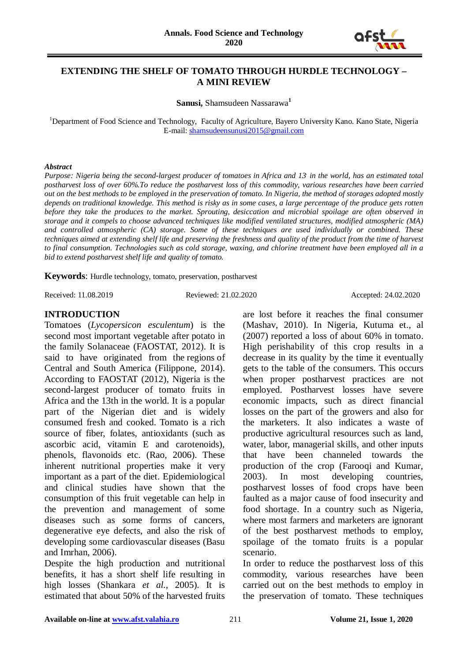

### **EXTENDING THE SHELF OF TOMATO THROUGH HURDLE TECHNOLOGY – A MINI REVIEW**

**Sanusi,** Shamsudeen Nassarawa**<sup>1</sup>**

<sup>1</sup>Department of Food Science and Technology, Faculty of Agriculture, Bayero University Kano. Kano State, Nigeria E-mail: [shamsudeensunusi2015@gmail.com](mailto:shamsudeensunusi2015@gmail.com)

#### *Abstract*

*Purpose: Nigeria being the second-largest producer of tomatoes in Africa and 13. in the world, has an estimated total postharvest loss of over 60%.To reduce the postharvest loss of this commodity, various researches have been carried out on the best methods to be employed in the preservation of tomato. In Nigeria, the method of storages adopted mostly depends on traditional knowledge. This method is risky as in some cases, a large percentage of the produce gets rotten before they take the produces to the market. Sprouting, desiccation and microbial spoilage are often observed in storage and it compels to choose advanced techniques like modified ventilated structures, modified atmospheric (MA) and controlled atmospheric (CA) storage. Some of these techniques are used individually or combined. These techniques aimed at extending shelf life and preserving the freshness and quality of the product from the time of harvest to final consumption. Technologies such as cold storage, waxing, and chlorine treatment have been employed all in a bid to extend postharvest shelf life and quality of tomato.*

**Keywords**: Hurdle technology, tomato, preservation, postharvest

Received: 11.08.2019 Reviewed: 21.02.2020 Accepted: 24.02.2020

#### **INTRODUCTION**

Tomatoes (*Lycopersicon esculentum*) is the second most important vegetable after potato in the family Solanaceae (FAOSTAT, 2012). It is said to have originated from the regions of Central and South America (Filippone, 2014). According to FAOSTAT (2012), Nigeria is the second-largest producer of tomato fruits in Africa and the 13th in the world. It is a popular part of the Nigerian diet and is widely consumed fresh and cooked. Tomato is a rich source of fiber, folates, antioxidants (such as ascorbic acid, vitamin E and carotenoids), phenols, flavonoids etc. (Rao, 2006). These inherent nutritional properties make it very important as a part of the diet. Epidemiological and clinical studies have shown that the consumption of this fruit vegetable can help in the prevention and management of some diseases such as some forms of cancers, degenerative eye defects, and also the risk of developing some cardiovascular diseases (Basu and Imrhan, 2006).

Despite the high production and nutritional benefits, it has a short shelf life resulting in high losses (Shankara *et al.,* 2005). It is estimated that about 50% of the harvested fruits

are lost before it reaches the final consumer (Mashav, 2010). In Nigeria, Kutuma et., al (2007) reported a loss of about 60% in tomato. High perishability of this crop results in a decrease in its quality by the time it eventually gets to the table of the consumers. This occurs when proper postharvest practices are not employed. Postharvest losses have severe economic impacts, such as direct financial losses on the part of the growers and also for the marketers. It also indicates a waste of productive agricultural resources such as land, water, labor, managerial skills, and other inputs that have been channeled towards the production of the crop (Farooqi and Kumar, 2003). In most developing countries, postharvest losses of food crops have been faulted as a major cause of food insecurity and food shortage. In a country such as Nigeria, where most farmers and marketers are ignorant of the best postharvest methods to employ, spoilage of the tomato fruits is a popular scenario.

In order to reduce the postharvest loss of this commodity, various researches have been carried out on the best methods to employ in the preservation of tomato. These techniques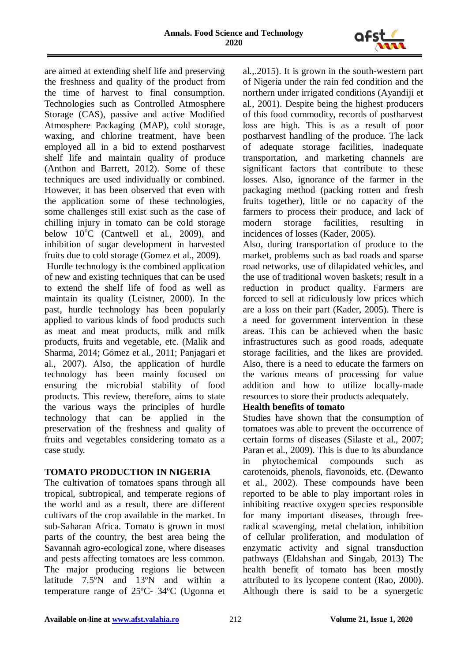

are aimed at extending shelf life and preserving the freshness and quality of the product from the time of harvest to final consumption. Technologies such as Controlled Atmosphere Storage (CAS), passive and active Modified Atmosphere Packaging (MAP), cold storage, waxing, and chlorine treatment, have been employed all in a bid to extend postharvest shelf life and maintain quality of produce (Anthon and Barrett, 2012). Some of these techniques are used individually or combined. However, it has been observed that even with the application some of these technologies, some challenges still exist such as the case of chilling injury in tomato can be cold storage below  $10^{6}$ C (Cantwell et al., 2009), and inhibition of sugar development in harvested fruits due to cold storage (Gomez et al., 2009).

Hurdle technology is the combined application of new and existing techniques that can be used to extend the shelf life of food as well as maintain its quality (Leistner, 2000). In the past, hurdle technology has been popularly applied to various kinds of food products such as meat and meat products, milk and milk products, fruits and vegetable, etc. (Malik and Sharma, 2014; Gómez et al*.,* 2011; Panjagari et al., 2007). Also, the application of hurdle technology has been mainly focused on ensuring the microbial stability of food products. This review, therefore, aims to state the various ways the principles of hurdle technology that can be applied in the preservation of the freshness and quality of fruits and vegetables considering tomato as a case study.

### **TOMATO PRODUCTION IN NIGERIA**

The cultivation of tomatoes spans through all tropical, subtropical, and temperate regions of the world and as a result, there are different cultivars of the crop available in the market. In sub-Saharan Africa. Tomato is grown in most parts of the country, the best area being the Savannah agro-ecological zone, where diseases and pests affecting tomatoes are less common. The major producing regions lie between latitude 7.5ºN and 13ºN and within a temperature range of 25ºC- 34ºC (Ugonna et

al.,.2015). It is grown in the south-western part of Nigeria under the rain fed condition and the northern under irrigated conditions (Ayandiji et al., 2001). Despite being the highest producers of this food commodity, records of postharvest loss are high. This is as a result of poor postharvest handling of the produce. The lack of adequate storage facilities, inadequate transportation, and marketing channels are significant factors that contribute to these losses. Also, ignorance of the farmer in the packaging method (packing rotten and fresh fruits together), little or no capacity of the farmers to process their produce, and lack of modern storage facilities, resulting in incidences of losses (Kader, 2005).

Also, during transportation of produce to the market, problems such as bad roads and sparse road networks, use of dilapidated vehicles, and the use of traditional woven baskets; result in a reduction in product quality. Farmers are forced to sell at ridiculously low prices which are a loss on their part (Kader, 2005). There is a need for government intervention in these areas. This can be achieved when the basic infrastructures such as good roads, adequate storage facilities, and the likes are provided. Also, there is a need to educate the farmers on the various means of processing for value addition and how to utilize locally-made resources to store their products adequately.

### **Health benefits of tomato**

Studies have shown that the consumption of tomatoes was able to prevent the occurrence of certain forms of diseases (Silaste et al., 2007; Paran et al., 2009). This is due to its abundance in phytochemical compounds such as carotenoids, phenols, flavonoids, etc. (Dewanto et al., 2002). These compounds have been reported to be able to play important roles in inhibiting reactive oxygen species responsible for many important diseases, through freeradical scavenging, metal chelation, inhibition of cellular proliferation, and modulation of enzymatic activity and signal transduction pathways (Eldahshan and Singab, 2013) The health benefit of tomato has been mostly attributed to its lycopene content (Rao, 2000). Although there is said to be a synergetic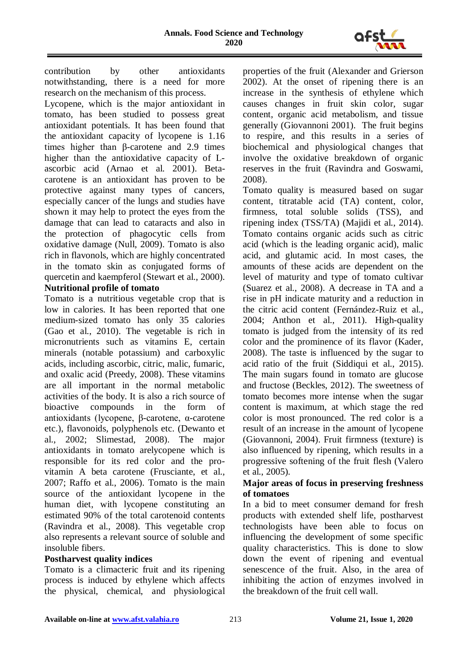

contribution by other antioxidants notwithstanding, there is a need for more research on the mechanism of this process.

Lycopene, which is the major antioxidant in tomato, has been studied to possess great antioxidant potentials. It has been found that the antioxidant capacity of lycopene is 1.16 times higher than β-carotene and 2.9 times higher than the antioxidative capacity of Lascorbic acid (Arnao et al. 2001). Betacarotene is an antioxidant has proven to be protective against many types of cancers, especially cancer of the lungs and studies have shown it may help to protect the eyes from the damage that can lead to cataracts and also in the protection of phagocytic cells from oxidative damage (Null, 2009). Tomato is also rich in flavonols, which are highly concentrated in the tomato skin as conjugated forms of quercetin and kaempferol (Stewart et al., 2000).

# **Nutritional profile of tomato**

Tomato is a nutritious vegetable crop that is low in calories. It has been reported that one medium-sized tomato has only 35 calories (Gao et al., 2010). The vegetable is rich in micronutrients such as vitamins E, certain minerals (notable potassium) and carboxylic acids, including ascorbic, citric, malic, fumaric, and oxalic acid (Preedy, 2008). These vitamins are all important in the normal metabolic activities of the body. It is also a rich source of bioactive compounds in the form of antioxidants (lycopene, β-carotene, α-carotene etc.), flavonoids, polyphenols etc. (Dewanto et al., 2002; Slimestad, 2008). The major antioxidants in tomato arelycopene which is responsible for its red color and the provitamin A beta carotene (Frusciante, et al., 2007; Raffo et al., 2006). Tomato is the main source of the antioxidant lycopene in the human diet, with lycopene constituting an estimated 90% of the total carotenoid contents (Ravindra et al., 2008). This vegetable crop also represents a relevant source of soluble and insoluble fibers.

### **Postharvest quality indices**

Tomato is a climacteric fruit and its ripening process is induced by ethylene which affects the physical, chemical, and physiological

properties of the fruit (Alexander and Grierson 2002). At the onset of ripening there is an increase in the synthesis of ethylene which causes changes in fruit skin color, sugar content, organic acid metabolism, and tissue generally (Giovannoni 2001). The fruit begins to respire, and this results in a series of biochemical and physiological changes that involve the oxidative breakdown of organic reserves in the fruit (Ravindra and Goswami, 2008).

Tomato quality is measured based on sugar content, titratable acid (TA) content, color, firmness, total soluble solids (TSS), and ripening index (TSS/TA) (Majidi et al., 2014). Tomato contains organic acids such as citric acid (which is the leading organic acid), malic acid, and glutamic acid. In most cases, the amounts of these acids are dependent on the level of maturity and type of tomato cultivar (Suarez et al., 2008). A decrease in TA and a rise in pH indicate maturity and a reduction in the citric acid content (Fernández-Ruiz et al., 2004; Anthon et al., 2011). High-quality tomato is judged from the intensity of its red color and the prominence of its flavor (Kader, 2008). The taste is influenced by the sugar to acid ratio of the fruit (Siddiqui et al., 2015). The main sugars found in tomato are glucose and fructose (Beckles, 2012). The sweetness of tomato becomes more intense when the sugar content is maximum, at which stage the red color is most pronounced. The red color is a result of an increase in the amount of lycopene (Giovannoni, 2004). Fruit firmness (texture) is also influenced by ripening, which results in a progressive softening of the fruit flesh (Valero et al., 2005).

### **Major areas of focus in preserving freshness of tomatoes**

In a bid to meet consumer demand for fresh products with extended shelf life, postharvest technologists have been able to focus on influencing the development of some specific quality characteristics. This is done to slow down the event of ripening and eventual senescence of the fruit. Also, in the area of inhibiting the action of enzymes involved in the breakdown of the fruit cell wall.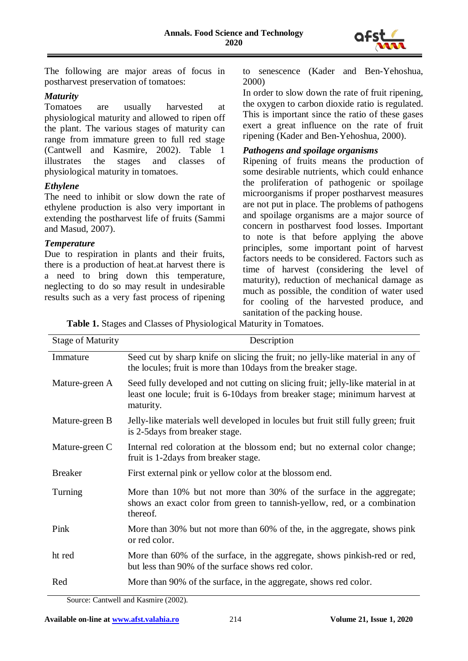

The following are major areas of focus in postharvest preservation of tomatoes:

### *Maturity*

Tomatoes are usually harvested at physiological maturity and allowed to ripen off the plant. The various stages of maturity can range from immature green to full red stage (Cantwell and Kasmire, 2002). Table 1 illustrates the stages and classes of physiological maturity in tomatoes.

### *Ethylene*

The need to inhibit or slow down the rate of ethylene production is also very important in extending the postharvest life of fruits (Sammi and Masud, 2007).

### *Temperature*

Due to respiration in plants and their fruits, there is a production of heat.at harvest there is a need to bring down this temperature, neglecting to do so may result in undesirable results such as a very fast process of ripening to senescence (Kader and Ben-Yehoshua, 2000)

In order to slow down the rate of fruit ripening, the oxygen to carbon dioxide ratio is regulated. This is important since the ratio of these gases exert a great influence on the rate of fruit ripening (Kader and Ben-Yehoshua, 2000).

### *Pathogens and spoilage organisms*

Ripening of fruits means the production of some desirable nutrients, which could enhance the proliferation of pathogenic or spoilage microorganisms if proper postharvest measures are not put in place. The problems of pathogens and spoilage organisms are a major source of concern in postharvest food losses. Important to note is that before applying the above principles, some important point of harvest factors needs to be considered. Factors such as time of harvest (considering the level of maturity), reduction of mechanical damage as much as possible, the condition of water used for cooling of the harvested produce, and sanitation of the packing house.

|  |  | Table 1. Stages and Classes of Physiological Maturity in Tomatoes. |
|--|--|--------------------------------------------------------------------|
|  |  |                                                                    |

| <b>Stage of Maturity</b> | Description                                                                                                                                                                  |
|--------------------------|------------------------------------------------------------------------------------------------------------------------------------------------------------------------------|
| Immature                 | Seed cut by sharp knife on slicing the fruit; no jelly-like material in any of<br>the locules; fruit is more than 10 days from the breaker stage.                            |
| Mature-green A           | Seed fully developed and not cutting on slicing fruit; jelly-like material in at<br>least one locule; fruit is 6-10 days from breaker stage; minimum harvest at<br>maturity. |
| Mature-green B           | Jelly-like materials well developed in locules but fruit still fully green; fruit<br>is 2-5 days from breaker stage.                                                         |
| Mature-green C           | Internal red coloration at the blossom end; but no external color change;<br>fruit is 1-2 days from breaker stage.                                                           |
| <b>Breaker</b>           | First external pink or yellow color at the blossom end.                                                                                                                      |
| Turning                  | More than 10% but not more than 30% of the surface in the aggregate;<br>shows an exact color from green to tannish-yellow, red, or a combination<br>thereof.                 |
| Pink                     | More than 30% but not more than 60% of the, in the aggregate, shows pink<br>or red color.                                                                                    |
| ht red                   | More than 60% of the surface, in the aggregate, shows pinkish-red or red,<br>but less than 90% of the surface shows red color.                                               |
| Red                      | More than 90% of the surface, in the aggregate, shows red color.                                                                                                             |

Source: Cantwell and Kasmire (2002).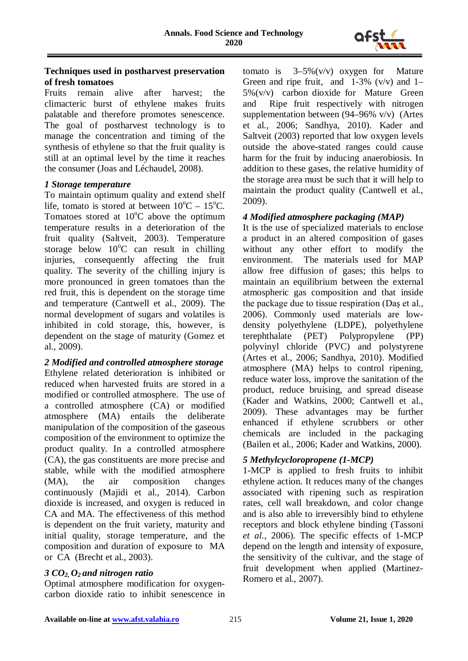

#### **Techniques used in postharvest preservation of fresh tomatoes**

Fruits remain alive after harvest; the climacteric burst of ethylene makes fruits palatable and therefore promotes senescence. The goal of postharvest technology is to manage the concentration and timing of the synthesis of ethylene so that the fruit quality is still at an optimal level by the time it reaches the consumer (Joas and Léchaudel, 2008).

### *1 Storage temperature*

To maintain optimum quality and extend shelf life, tomato is stored at between  $10^{\circ}$ C –  $15^{\circ}$ C. Tomatoes stored at  $10^{\circ}$ C above the optimum temperature results in a deterioration of the fruit quality (Saltveit, 2003). Temperature storage below  $10^{\circ}$ C can result in chilling injuries, consequently affecting the fruit quality. The severity of the chilling injury is more pronounced in green tomatoes than the red fruit, this is dependent on the storage time and temperature (Cantwell et al., 2009). The normal development of sugars and volatiles is inhibited in cold storage, this, however, is dependent on the stage of maturity (Gomez et al., 2009).

### *2 Modified and controlled atmosphere storage*

Ethylene related deterioration is inhibited or reduced when harvested fruits are stored in a modified or controlled atmosphere. The use of a controlled atmosphere (CA) or modified atmosphere (MA) entails the deliberate manipulation of the composition of the gaseous composition of the environment to optimize the product quality. In a controlled atmosphere (CA), the gas constituents are more precise and stable, while with the modified atmosphere (MA), the air composition changes continuously (Majidi et al., 2014). Carbon dioxide is increased, and oxygen is reduced in CA and MA. The effectiveness of this method is dependent on the fruit variety, maturity and initial quality, storage temperature, and the composition and duration of exposure to MA or CA (Brecht et al., 2003).

### *3 CO2, O2 and nitrogen ratio*

Optimal atmosphere modification for oxygencarbon dioxide ratio to inhibit senescence in tomato is  $3-5\%$  (v/v) oxygen for Mature Green and ripe fruit, and  $1-3\%$  (v/v) and  $1-$ 5%(v/v) carbon dioxide for Mature Green and Ripe fruit respectively with nitrogen supplementation between (94–96% v/v) (Artes et al., 2006; Sandhya, 2010). Kader and Saltveit (2003) reported that low oxygen levels outside the above-stated ranges could cause harm for the fruit by inducing anaerobiosis. In addition to these gases, the relative humidity of the storage area must be such that it will help to maintain the product quality (Cantwell et al., 2009).

## *4 Modified atmosphere packaging (MAP)*

It is the use of specialized materials to enclose a product in an altered composition of gases without any other effort to modify the environment. The materials used for MAP allow free diffusion of gases; this helps to maintain an equilibrium between the external atmospheric gas composition and that inside the package due to tissue respiration (Daş et al., 2006). Commonly used materials are lowdensity polyethylene (LDPE), polyethylene terephthalate (PET) Polypropylene (PP) polyvinyl chloride (PVC) and polystyrene (Artes et al., 2006; Sandhya, 2010). Modified atmosphere (MA) helps to control ripening, reduce water loss, improve the sanitation of the product, reduce bruising, and spread disease (Kader and Watkins, 2000; Cantwell et al., 2009). These advantages may be further enhanced if ethylene scrubbers or other chemicals are included in the packaging (Bailen et al., 2006; Kader and Watkins, 2000).

### *5 Methylcycloropropene (1-MCP)*

1-MCP is applied to fresh fruits to inhibit ethylene action. It reduces many of the changes associated with ripening such as respiration rates, cell wall breakdown, and color change and is also able to irreversibly bind to ethylene receptors and block ethylene binding (Tassoni *et al.,* 2006). The specific effects of 1-MCP depend on the length and intensity of exposure, the sensitivity of the cultivar, and the stage of fruit development when applied (Martinez-Romero et al., 2007).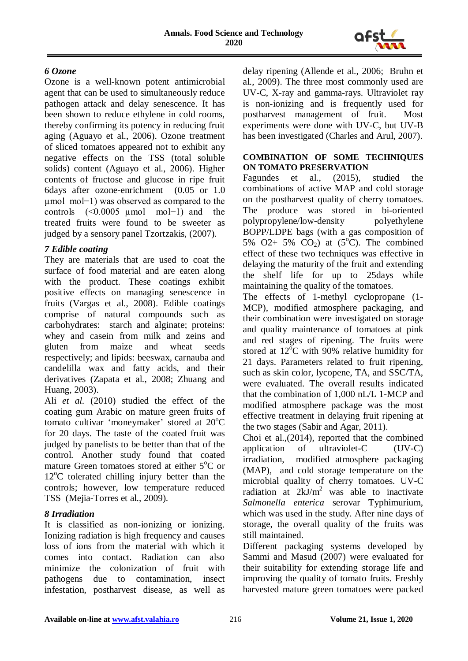

### *6 Ozone*

Ozone is a well-known potent antimicrobial agent that can be used to simultaneously reduce pathogen attack and delay senescence. It has been shown to reduce ethylene in cold rooms, thereby confirming its potency in reducing fruit aging (Aguayo et al., 2006). Ozone treatment of sliced tomatoes appeared not to exhibit any negative effects on the TSS (total soluble solids) content (Aguayo et al., 2006). Higher contents of fructose and glucose in ripe fruit 6days after ozone-enrichment (0.05 or 1.0 µmol mol−1) was observed as compared to the controls (<0.0005 µmol mol−1) and the treated fruits were found to be sweeter as judged by a sensory panel Tzortzakis, (2007).

### *7 Edible coating*

They are materials that are used to coat the surface of food material and are eaten along with the product. These coatings exhibit positive effects on managing senescence in fruits (Vargas et al., 2008). Edible coatings comprise of natural compounds such as carbohydrates: starch and alginate; proteins: whey and casein from milk and zeins and gluten from maize and wheat seeds respectively; and lipids: beeswax, carnauba and candelilla wax and fatty acids, and their derivatives (Zapata et al., 2008; Zhuang and Huang, 2003).

Ali *et al.* (2010) studied the effect of the coating gum Arabic on mature green fruits of tomato cultivar 'moneymaker' stored at 20°C for 20 days. The taste of the coated fruit was judged by panelists to be better than that of the control. Another study found that coated mature Green tomatoes stored at either 5°C or 12°C tolerated chilling injury better than the controls; however, low temperature reduced TSS (Mejia-Torres et al., 2009).

### *8 Irradiation*

It is classified as non-ionizing or ionizing. Ionizing radiation is high frequency and causes loss of ions from the material with which it comes into contact. Radiation can also minimize the colonization of fruit with pathogens due to contamination, insect infestation, postharvest disease, as well as

delay ripening (Allende et al., 2006; Bruhn et al., 2009). The three most commonly used are UV-C, X-ray and gamma-rays. Ultraviolet ray is non-ionizing and is frequently used for postharvest management of fruit. Most experiments were done with UV-C, but UV-B has been investigated (Charles and Arul, 2007).

#### **COMBINATION OF SOME TECHNIQUES ON TOMATO PRESERVATION**

Fagundes et al., (2015), studied the combinations of active MAP and cold storage on the postharvest quality of cherry tomatoes. The produce was stored in bi-oriented polypropylene/low-density polyethylene BOPP/LDPE bags (with a gas composition of 5% O2+ 5% CO<sub>2</sub>) at  $(5^{\circ}C)$ . The combined effect of these two techniques was effective in delaying the maturity of the fruit and extending the shelf life for up to 25days while maintaining the quality of the tomatoes.

The effects of 1-methyl cyclopropane (1- MCP), modified atmosphere packaging, and their combination were investigated on storage and quality maintenance of tomatoes at pink and red stages of ripening. The fruits were stored at  $12^{\circ}$ C with 90% relative humidity for 21 days. Parameters related to fruit ripening, such as skin color, lycopene, TA, and SSC/TA, were evaluated. The overall results indicated that the combination of 1,000 nL/L 1-MCP and modified atmosphere package was the most effective treatment in delaying fruit ripening at the two stages (Sabir and Agar, 2011).

Choi et al.,(2014), reported that the combined application of ultraviolet-C (UV-C) irradiation, modified atmosphere packaging (MAP), and cold storage temperature on the microbial quality of cherry tomatoes. UV-C radiation at  $2kJ/m^2$  was able to inactivate *Salmonella enterica* serovar Typhimurium, which was used in the study. After nine days of storage, the overall quality of the fruits was still maintained.

Different packaging systems developed by Sammi and Masud (2007) were evaluated for their suitability for extending storage life and improving the quality of tomato fruits. Freshly harvested mature green tomatoes were packed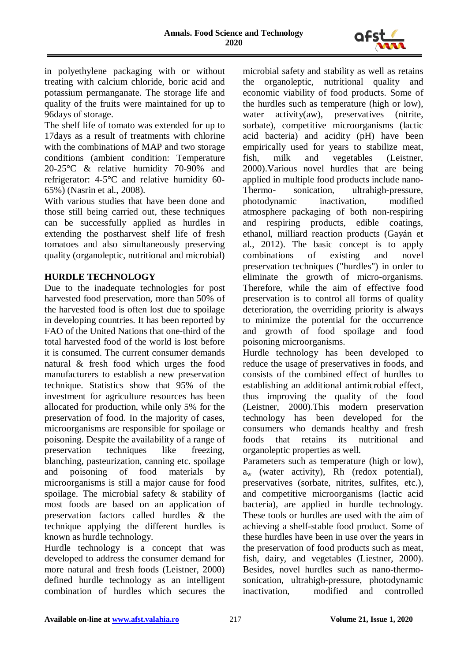

in polyethylene packaging with or without treating with calcium chloride, boric acid and potassium permanganate. The storage life and quality of the fruits were maintained for up to 96days of storage.

The shelf life of tomato was extended for up to 17days as a result of treatments with chlorine with the combinations of MAP and two storage conditions (ambient condition: Temperature 20-25°C & relative humidity 70-90% and refrigerator: 4-5°C and relative humidity 60- 65%) (Nasrin et al., 2008).

With various studies that have been done and those still being carried out, these techniques can be successfully applied as hurdles in extending the postharvest shelf life of fresh tomatoes and also simultaneously preserving quality (organoleptic, nutritional and microbial)

### **HURDLE TECHNOLOGY**

Due to the inadequate technologies for post harvested food preservation, more than 50% of the harvested food is often lost due to spoilage in developing countries. It has been reported by FAO of the United Nations that one-third of the total harvested food of the world is lost before it is consumed. The current consumer demands natural & fresh food which urges the food manufacturers to establish a new preservation technique. Statistics show that 95% of the investment for agriculture resources has been allocated for production, while only 5% for the preservation of food. In the majority of cases, microorganisms are responsible for spoilage or poisoning. Despite the availability of a range of preservation techniques like freezing, blanching, pasteurization, canning etc. spoilage and poisoning of food materials by microorganisms is still a major cause for food spoilage. The microbial safety & stability of most foods are based on an application of preservation factors called hurdles & the technique applying the different hurdles is known as hurdle technology.

Hurdle technology is a concept that was developed to address the consumer demand for more natural and fresh foods (Leistner, 2000) defined hurdle technology as an intelligent combination of hurdles which secures the microbial safety and stability as well as retains the organoleptic, nutritional quality and economic viability of food products. Some of the hurdles such as temperature (high or low), water activity(aw), preservatives (nitrite, sorbate), competitive microorganisms (lactic acid bacteria) and acidity (pH) have been empirically used for years to stabilize meat, fish, milk and vegetables (Leistner, 2000).Various novel hurdles that are being applied in multiple food products include nano-Thermo- sonication, ultrahigh-pressure, photodynamic inactivation, modified atmosphere packaging of both non-respiring and respiring products, edible coatings, ethanol, milliard reaction products (Gayán et al., 2012). The basic concept is to apply combinations of existing and novel preservation techniques ("hurdles") in order to eliminate the growth of micro-organisms. Therefore, while the aim of effective food preservation is to control all forms of quality deterioration, the overriding priority is always to minimize the potential for the occurrence and growth of food spoilage and food poisoning microorganisms.

Hurdle technology has been developed to reduce the usage of preservatives in foods, and consists of the combined effect of hurdles to establishing an additional antimicrobial effect, thus improving the quality of the food (Leistner, 2000).This modern preservation technology has been developed for the consumers who demands healthy and fresh foods that retains its nutritional and organoleptic properties as well.

Parameters such as temperature (high or low),  $a_w$  (water activity), Rh (redox potential), preservatives (sorbate, nitrites, sulfites, etc.), and competitive microorganisms (lactic acid bacteria), are applied in hurdle technology. These tools or hurdles are used with the aim of achieving a shelf-stable food product. Some of these hurdles have been in use over the years in the preservation of food products such as meat, fish, dairy, and vegetables (Liestner, 2000). Besides, novel hurdles such as nano-thermosonication, ultrahigh-pressure, photodynamic inactivation, modified and controlled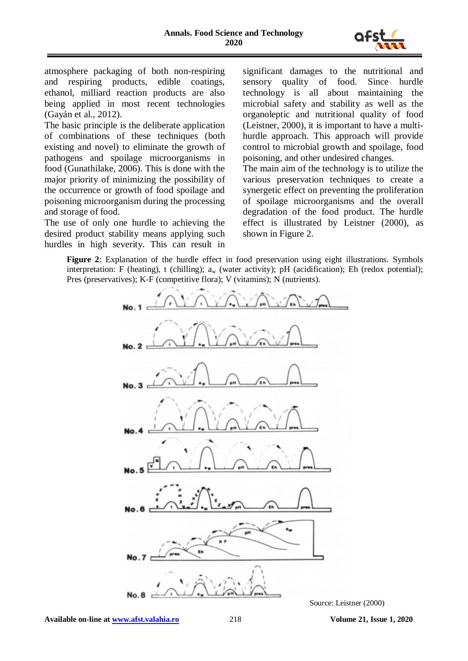

atmosphere packaging of both non-respiring and respiring products, edible coatings, ethanol, milliard reaction products are also being applied in most recent technologies (Gayán et al., 2012).

The basic principle is the deliberate application of combinations of these techniques (both existing and novel) to eliminate the growth of pathogens and spoilage microorganisms in food (Gunathilake, 2006). This is done with the major priority of minimizing the possibility of the occurrence or growth of food spoilage and poisoning microorganism during the processing and storage of food.

The use of only one hurdle to achieving the desired product stability means applying such hurdles in high severity. This can result in

significant damages to the nutritional and sensory quality of food. Since hurdle technology is all about maintaining the microbial safety and stability as well as the organoleptic and nutritional quality of food (Leistner, 2000), it is important to have a multihurdle approach. This approach will provide control to microbial growth and spoilage, food poisoning, and other undesired changes.

The main aim of the technology is to utilize the various preservation techniques to create a synergetic effect on preventing the proliferation of spoilage microorganisms and the overall degradation of the food product. The hurdle effect is illustrated by Leistner (2000), as shown in Figure 2.

**Figure 2**: Explanation of the hurdle effect in food preservation using eight illustrations. Symbols interpretation: F (heating), t (chilling);  $a_w$  (water activity); pH (acidification); Eh (redox potential); Pres (preservatives); K-F (competitive flora); V (vitamins); N (nutrients).

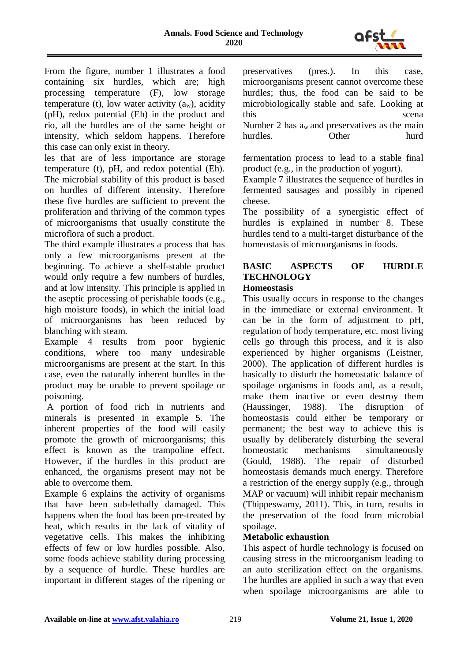

From the figure, number 1 illustrates a food containing six hurdles, which are; high processing temperature (F), low storage temperature (t), low water activity  $(a_w)$ , acidity (pH), redox potential (Eh) in the product and rio, all the hurdles are of the same height or intensity, which seldom happens. Therefore this case can only exist in theory.

les that are of less importance are storage temperature (t), pH, and redox potential (Eh). The microbial stability of this product is based on hurdles of different intensity. Therefore these five hurdles are sufficient to prevent the proliferation and thriving of the common types of microorganisms that usually constitute the microflora of such a product.

The third example illustrates a process that has only a few microorganisms present at the beginning. To achieve a shelf-stable product would only require a few numbers of hurdles, and at low intensity. This principle is applied in the aseptic processing of perishable foods (e.g., high moisture foods), in which the initial load of microorganisms has been reduced by blanching with steam.

Example 4 results from poor hygienic conditions, where too many undesirable microorganisms are present at the start. In this case, even the naturally inherent hurdles in the product may be unable to prevent spoilage or poisoning.

A portion of food rich in nutrients and minerals is presented in example 5. The inherent properties of the food will easily promote the growth of microorganisms; this effect is known as the trampoline effect. However, if the hurdles in this product are enhanced, the organisms present may not be able to overcome them.

Example 6 explains the activity of organisms that have been sub-lethally damaged. This happens when the food has been pre-treated by heat, which results in the lack of vitality of vegetative cells. This makes the inhibiting effects of few or low hurdles possible. Also, some foods achieve stability during processing by a sequence of hurdle. These hurdles are important in different stages of the ripening or preservatives (pres.). In this case, microorganisms present cannot overcome these hurdles; thus, the food can be said to be microbiologically stable and safe. Looking at this scena scena scena scena scena Number 2 has  $a_w$  and preservatives as the main hurdles. Other hurd

fermentation process to lead to a stable final product (e.g., in the production of yogurt).

Example 7 illustrates the sequence of hurdles in fermented sausages and possibly in ripened cheese.

The possibility of a synergistic effect of hurdles is explained in number 8. These hurdles tend to a multi-target disturbance of the homeostasis of microorganisms in foods.

# **BASIC ASPECTS OF HURDLE TECHNOLOGY**

### **Homeostasis**

This usually occurs in response to the changes in the immediate or external environment. It can be in the form of adjustment to pH, regulation of body temperature, etc. most living cells go through this process, and it is also experienced by higher organisms (Leistner, 2000). The application of different hurdles is basically to disturb the homeostatic balance of spoilage organisms in foods and, as a result, make them inactive or even destroy them (Haussinger, 1988). The disruption of homeostasis could either be temporary or permanent; the best way to achieve this is usually by deliberately disturbing the several homeostatic mechanisms simultaneously (Gould, 1988). The repair of disturbed homeostasis demands much energy. Therefore a restriction of the energy supply (e.g., through MAP or vacuum) will inhibit repair mechanism (Thippeswamy, 2011). This, in turn, results in the preservation of the food from microbial spoilage.

### **Metabolic exhaustion**

This aspect of hurdle technology is focused on causing stress in the microorganism leading to an auto sterilization effect on the organisms. The hurdles are applied in such a way that even when spoilage microorganisms are able to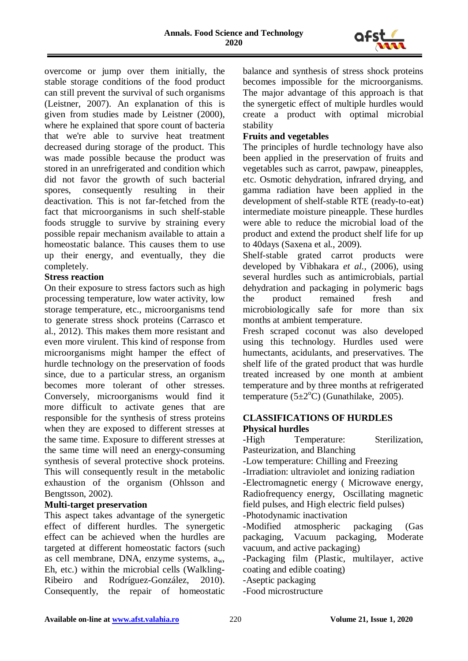

overcome or jump over them initially, the stable storage conditions of the food product can still prevent the survival of such organisms (Leistner, 2007). An explanation of this is given from studies made by Leistner (2000), where he explained that spore count of bacteria that we're able to survive heat treatment decreased during storage of the product. This was made possible because the product was stored in an unrefrigerated and condition which did not favor the growth of such bacterial spores, consequently resulting in their deactivation. This is not far-fetched from the fact that microorganisms in such shelf-stable foods struggle to survive by straining every possible repair mechanism available to attain a homeostatic balance. This causes them to use up their energy, and eventually, they die completely.

### **Stress reaction**

On their exposure to stress factors such as high processing temperature, low water activity, low storage temperature, etc., microorganisms tend to generate stress shock proteins (Carrasco et al., 2012). This makes them more resistant and even more virulent. This kind of response from microorganisms might hamper the effect of hurdle technology on the preservation of foods since, due to a particular stress, an organism becomes more tolerant of other stresses. Conversely, microorganisms would find it more difficult to activate genes that are responsible for the synthesis of stress proteins when they are exposed to different stresses at the same time. Exposure to different stresses at the same time will need an energy-consuming synthesis of several protective shock proteins. This will consequently result in the metabolic exhaustion of the organism (Ohlsson and Bengtsson, 2002).

### **Multi-target preservation**

This aspect takes advantage of the synergetic effect of different hurdles. The synergetic effect can be achieved when the hurdles are targeted at different homeostatic factors (such as cell membrane, DNA, enzyme systems, aw, Eh, etc.) within the microbial cells (Walkling-Ribeiro and Rodríguez-González, 2010). Consequently, the repair of homeostatic balance and synthesis of stress shock proteins becomes impossible for the microorganisms. The major advantage of this approach is that the synergetic effect of multiple hurdles would create a product with optimal microbial stability

### **Fruits and vegetables**

The principles of hurdle technology have also been applied in the preservation of fruits and vegetables such as carrot, pawpaw, pineapples, etc. Osmotic dehydration, infrared drying, and gamma radiation have been applied in the development of shelf-stable RTE (ready-to-eat) intermediate moisture pineapple. These hurdles were able to reduce the microbial load of the product and extend the product shelf life for up to 40days (Saxena et al., 2009).

Shelf-stable grated carrot products were developed by Vibhakara *et al.,* (2006), using several hurdles such as antimicrobials, partial dehydration and packaging in polymeric bags the product remained fresh and microbiologically safe for more than six months at ambient temperature.

Fresh scraped coconut was also developed using this technology. Hurdles used were humectants, acidulants, and preservatives. The shelf life of the grated product that was hurdle treated increased by one month at ambient temperature and by three months at refrigerated temperature  $(5\pm2^{\circ}\text{C})$  (Gunathilake, 2005).

### **CLASSIFICATIONS OF HURDLES Physical hurdles**

-High Temperature: Sterilization, Pasteurization, and Blanching -Low temperature: Chilling and Freezing -Irradiation: ultraviolet and ionizing radiation -Electromagnetic energy ( Microwave energy, Radiofrequency energy, Oscillating magnetic field pulses, and High electric field pulses) -Photodynamic inactivation -Modified atmospheric packaging (Gas packaging, Vacuum packaging, Moderate vacuum, and active packaging) -Packaging film (Plastic, multilayer, active coating and edible coating) -Aseptic packaging

-Food microstructure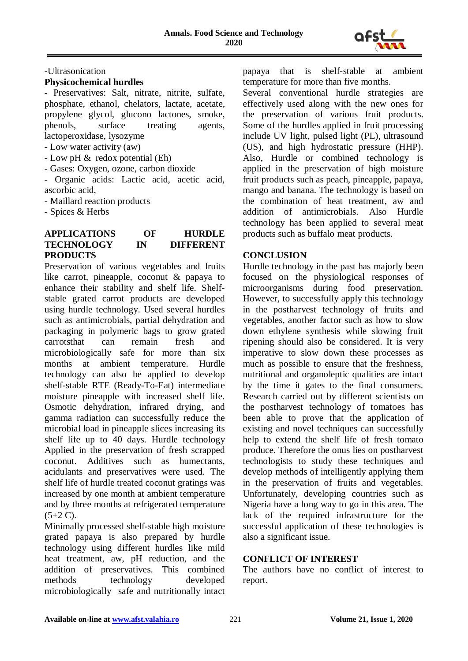

-Ultrasonication

#### **Physicochemical hurdles**

- Preservatives: Salt, nitrate, nitrite, sulfate, phosphate, ethanol, chelators, lactate, acetate, propylene glycol, glucono lactones, smoke, phenols, surface treating agents, lactoperoxidase, lysozyme - Low water activity (aw)

- Low pH & redox potential (Eh)

- Gases: Oxygen, ozone, carbon dioxide

- Organic acids: Lactic acid, acetic acid, ascorbic acid,

- Maillard reaction products

- Spices & Herbs

#### **APPLICATIONS OF HURDLE TECHNOLOGY IN DIFFERENT PRODUCTS**

Preservation of various vegetables and fruits like carrot, pineapple, coconut & papaya to enhance their stability and shelf life. Shelfstable grated carrot products are developed using hurdle technology. Used several hurdles such as antimicrobials, partial dehydration and packaging in polymeric bags to grow grated carrotsthat can remain fresh and microbiologically safe for more than six months at ambient temperature. Hurdle technology can also be applied to develop shelf-stable RTE (Ready-To-Eat) intermediate moisture pineapple with increased shelf life. Osmotic dehydration, infrared drying, and gamma radiation can successfully reduce the microbial load in pineapple slices increasing its shelf life up to 40 days. Hurdle technology Applied in the preservation of fresh scrapped coconut. Additives such as humectants, acidulants and preservatives were used. The shelf life of hurdle treated coconut gratings was increased by one month at ambient temperature and by three months at refrigerated temperature  $(5+2 C)$ .

Minimally processed shelf-stable high moisture grated papaya is also prepared by hurdle technology using different hurdles like mild heat treatment, aw, pH reduction, and the addition of preservatives. This combined methods technology developed microbiologically safe and nutritionally intact papaya that is shelf-stable at ambient temperature for more than five months.

Several conventional hurdle strategies are effectively used along with the new ones for the preservation of various fruit products. Some of the hurdles applied in fruit processing include UV light, pulsed light (PL), ultrasound (US), and high hydrostatic pressure (HHP). Also, Hurdle or combined technology is applied in the preservation of high moisture fruit products such as peach, pineapple, papaya, mango and banana. The technology is based on the combination of heat treatment, aw and addition of antimicrobials. Also Hurdle technology has been applied to several meat products such as buffalo meat products.

### **CONCLUSION**

Hurdle technology in the past has majorly been focused on the physiological responses of microorganisms during food preservation. However, to successfully apply this technology in the postharvest technology of fruits and vegetables, another factor such as how to slow down ethylene synthesis while slowing fruit ripening should also be considered. It is very imperative to slow down these processes as much as possible to ensure that the freshness, nutritional and organoleptic qualities are intact by the time it gates to the final consumers. Research carried out by different scientists on the postharvest technology of tomatoes has been able to prove that the application of existing and novel techniques can successfully help to extend the shelf life of fresh tomato produce. Therefore the onus lies on postharvest technologists to study these techniques and develop methods of intelligently applying them in the preservation of fruits and vegetables. Unfortunately, developing countries such as Nigeria have a long way to go in this area. The lack of the required infrastructure for the successful application of these technologies is also a significant issue.

#### **CONFLICT OF INTEREST**

The authors have no conflict of interest to report.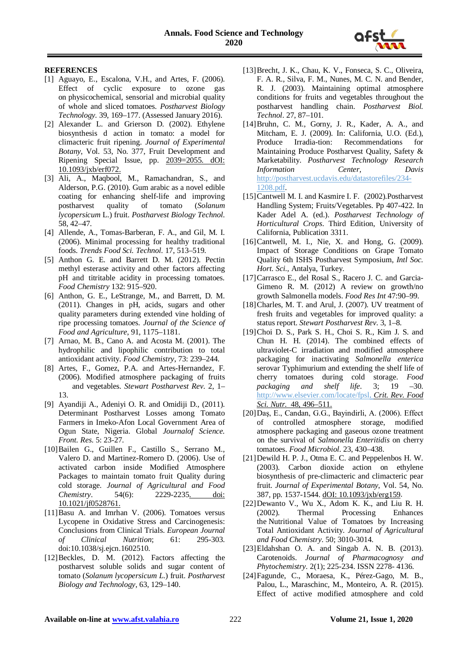

#### **REFERENCES**

- [1] Aguayo, E., Escalona, V.H., and Artes, F. (2006). Effect of cyclic exposure to ozone gas on physicochemical, sensorial and microbial quality of whole and sliced tomatoes. *Postharvest Biology Technology.* 39, 169–177. (Assessed January 2016).
- [2] Alexander L. and Grierson D. (2002). Ethylene biosynthesis d action in tomato: a model for climacteric fruit ripening. *Journal of Experimental Botany*, Vol. 53, No. 377, Fruit Development and Ripening Special Issue, pp. 2039=2055. dOI: 10.1093/jxb/erf072.
- [3] Ali, A., Maqbool, M., Ramachandran, S., and Alderson, P.G. (2010). Gum arabic as a novel edible coating for enhancing shelf-life and improving postharvest quality of tomato (*Solanum lycopersicum* L.) fruit. *Postharvest Biology Technol*. 58, 42–47.
- [4] Allende, A., Tomas-Barberan, F. A., and Gil, M. I. (2006). Minimal processing for healthy traditional foods. *Trends Food Sci. Technol*. 17, 513–519.
- [5] Anthon G. E. and Barrett D. M. (2012). Pectin methyl esterase activity and other factors affecting pH and titritable acidity in processing tomatoes. *Food Chemistry* 132: 915–920.
- [6] Anthon, G. E., LeStrange, M., and Barrett, D. M. (2011). Changes in pH, acids, sugars and other quality parameters during extended vine holding of ripe processing tomatoes. *Journal of the Science of Food and Agriculture*, 91, 1175–1181.
- [7] Arnao, M. B., Cano A. and Acosta M. (2001). The hydrophilic and lipophilic contribution to total antioxidant activity. *Food Chemistry*, 73: 239–244.
- [8] Artes, F., Gomez, P.A. and Artes-Hernandez, F. (2006). Modified atmosphere packaging of fruits and vegetables. *Stewart Postharvest Rev*. 2, 1– 13.
- [9] Ayandiji A., Adeniyi O. R. and Omidiji D., (2011). Determinant Postharvest Losses among Tomato Farmers in Imeko-Afon Local Government Area of Ogun State, Nigeria. Global *Journalof Science. Front. Res*. 5: 23-27.
- [10]Bailen G., Guillen F., Castillo S., Serrano M., Valero D. and Martinez-Romero D. (2006). Use of activated carbon inside Modified Atmosphere Packages to maintain tomato fruit Quality during cold storage. *Journal of Agricultural and Food Chemistry*. 54(6): 2229-2235. doi: 10.1021/jf0528761.
- [11]Basu A. and Imrhan V. (2006). Tomatoes versus Lycopene in Oxidative Stress and Carcinogenesis: Conclusions from Clinical Trials. *European Journal of Clinical Nutrition*; 61: 295-303. doi:10.1038/sj.ejcn.1602510.
- [12]Beckles, D. M. (2012). Factors affecting the postharvest soluble solids and sugar content of tomato (*Solanum lycopersicum L*.) fruit. *Postharvest Biology and Technology*, 63, 129–140.
- [13]Brecht, J. K., Chau, K. V., Fonseca, S. C., Oliveira, F. A. R., Silva, F. M., Nunes, M. C. N. and Bender, R. J. (2003). Maintaining optimal atmosphere conditions for fruits and vegetables throughout the postharvest handling chain. *Postharvest Biol. Technol*. 27, 87–101.
- [14]Bruhn, C. M., Gorny, J. R., Kader, A. A., and Mitcham, E. J. (2009). In: California, U.O. (Ed.), Produce Irradia-tion: Recommendations for Maintaining Produce Postharvest Quality, Safety & Marketability. *Postharvest Technology Research Information Center, Davis* [http://postharvest.ucdavis.edu/datastorefiles/234-](http://postharvest.ucdavis.edu/datastorefiles/234-1208.pdf) [1208.pdf.](http://postharvest.ucdavis.edu/datastorefiles/234-1208.pdf)
- [15]Cantwell M. I. and Kasmire I. F. (2002). Postharvest Handling System; Fruits/Vegetables. Pp 407-422. In Kader Adel A. (ed.). *Postharvest Technology of Horticultural Crops*. Third Edition, University of California, Publication 3311.
- [16]Cantwell, M. I., Nie, X. and Hong, G. (2009). Impact of Storage Conditions on Grape Tomato Quality 6th ISHS Postharvest Symposium, *Intl Soc. Hort. Sci.,* Antalya, Turkey.
- [17]Carrasco E., del Rosal S., Racero J. C. and Garcia-Gimeno R. M. (2012) A review on growth/no growth Salmonella models. *Food Res Int* 47:90–99.
- [18]Charles, M. T. and Arul, J. (2007). UV treatment of fresh fruits and vegetables for improved quality: a status report. *Stewart Postharvest Rev*. 3, 1–8.
- [19]Choi D. S., Park S. H., Choi S. R., Kim J. S. and Chun H. H. (2014). The combined effects of ultraviolet-C irradiation and modified atmosphere packaging for inactivating *Salmonella enterica* serovar Typhimurium and extending the shelf life of cherry tomatoes during cold storage. *Food packaging and shelf life*. 3; 19 –30. [http://www.elsevier.com/locate/fpsl.](http://www.elsevier.com/locate/fpsl) *Crit. Rev. Food Sci. Nutr.* 48, 496–511.
- [20]Daş, E., Candan, G.G., Bayindirli, A. (2006). Effect of controlled atmosphere storage, modified atmosphere packaging and gaseous ozone treatment on the survival of *Salmonella Enteritidis* on cherry tomatoes. *Food Microbiol*. 23, 430–438.
- [21]Dewild H. P. J., Otma E. C. and Peppelenbos H. W. (2003). Carbon dioxide action on ethylene biosynthesis of pre-climacteric and climacteric pear fruit. *Journal of Experimental Botany*, Vol. 54, No. 387, pp. 1537-1544. dOI: 10.1093/jxb/erg159.
- [22]Dewanto V., Wu X., Adom K. K., and Liu R. H. (2002). Thermal Processing Enhances the Nutritional Value of Tomatoes by Increasing Total Antioxidant Activity. *Journal of Agricultural and Food Chemistry*. 50; 3010-3014.
- [23]Eldahshan O. A. and Singab A. N. B. (2013). Carotenoids. *Journal of Pharmacognosy and Phytochemistry.* 2(1); 225-234. ISSN 2278- 4136.
- [24]Fagunde, C., Moraesa, K., Pérez-Gago, M. B., Palou, L., Maraschinc, M., Monteiro, A. R. (2015). Effect of active modified atmosphere and cold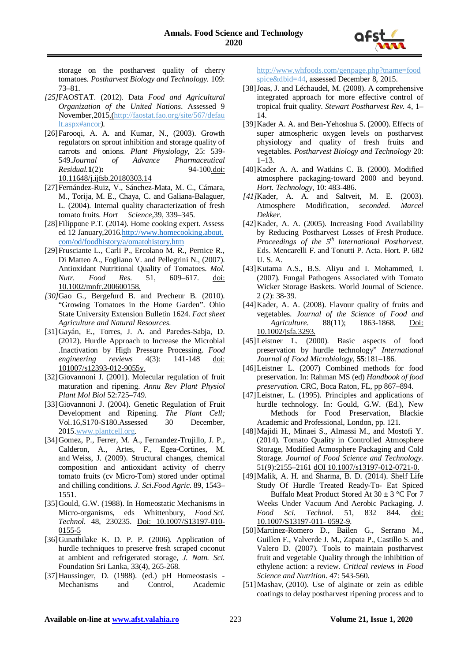

storage on the postharvest quality of cherry tomatoes. *Postharvest Biology and Technology.* 109: 73–81.

- *[25]*FAOSTAT. (2012). Data *Food and Agricultural Organization of the United Nations*. Assessed 9 November,2015.[\(http://faostat.fao.org/site/567/defau](http://faostat.fao.org/site/567/default.aspx#ancor) [lt.aspx#ancor](http://faostat.fao.org/site/567/default.aspx#ancor)*).*
- [26]Farooqi, A. A. and Kumar, N., (2003). Growth regulators on sprout inhibition and storage quality of carrots and onions. *Plant Physiology*, 25: 539- 549.*Journal of Advance Pharmaceutical Residual.***1**(2)**:** 94-100.doi: 10.11648/j.ijfsb.20180303.14
- [27]Fernández-Ruiz, V., Sánchez-Mata, M. C., Cámara, M., Torija, M. E., Chava, C. and Galiana-Balaguer, L. (2004). Internal quality characterization of fresh tomato fruits. *Hort Science,*39, 339–345.
- [28]Filippone P.T. (2014). Home cooking expert. Assess ed 12 January,2016[.http://www.homecooking.about.](http://www.homecooking.about.com/od/foodhistory/a/omatohistory.htm) [com/od/foodhistory/a/omatohistory.htm](http://www.homecooking.about.com/od/foodhistory/a/omatohistory.htm)
- [29]Frusciante L., Carli P., Ercolano M. R., Pernice R., Di Matteo A., Fogliano V. and Pellegrini N., (2007). Antioxidant Nutritional Quality of Tomatoes. *Mol. Nutr. Food Res.* 51, 609–617. doi: 10.1002/mnfr.200600158.
- *[30]*Gao G., Bergefurd B. and Precheur B. (2010). "Growing Tomatoes in the Home Garden". Ohio State University Extension Bulletin 1624. *Fact sheet Agriculture and Natural Resources.*
- [31]Gayán, E., Torres, J. A. and Paredes-Sabja, D. (2012). Hurdle Approach to Increase the Microbial .Inactivation by High Pressure Processing. *Food engineering reviews* 4(3): 141-148 doi: 101007/s12393-012-9055y.
- [32]Giovannoni J. (2001). Molecular regulation of fruit maturation and ripening. *Annu Rev Plant Physiol Plant Mol Biol* 52:725–749.
- [33]Giovannoni J. (2004). Genetic Regulation of Fruit Development and Ripening. *The Plant Cell;*  Vol.16,S170-S180.Assessed 30 December, 2015[.www.plantcell.org.](http://www.plantcell.org/)
- [34]Gomez, P., Ferrer, M. A., Fernandez-Trujillo, J. P., Calderon, A., Artes, F., Egea-Cortines, M. and Weiss, J. (2009). Structural changes, chemical composition and antioxidant activity of cherry tomato fruits (cv Micro-Tom) stored under optimal and chilling conditions. *J. Sci.Food Agric*. 89, 1543– 1551.
- [35] Gould, G.W. (1988). In Homeostatic Mechanisms in Micro-organisms, eds Whittenbury, *Food Sci. Technol.* 48, 230235. Doi: 10.1007/S13197-010- 0155-5
- [36]Gunathilake K. D. P. P. (2006). Application of hurdle techniques to preserve fresh scraped coconut at ambient and refrigerated storage, *J. Natn. Sci.* Foundation Sri Lanka*,* 33(4), 265-268.
- [37]Haussinger, D. (1988). (ed.) pH Homeostasis Mechanisms and Control, Academic

[http://www.whfoods.com/genpage.php?tname=food](http://www.whfoods.com/genpage.php?tname=foodspice&dbid=44) [spice&dbid=44,](http://www.whfoods.com/genpage.php?tname=foodspice&dbid=44) assessed December 8, 2015.

- [38]Joas, J. and Léchaudel, M. (2008). A comprehensive integrated approach for more effective control of tropical fruit quality. *Stewart Postharvest Rev.* 4, 1– 14.
- [39] Kader A. A. and Ben-Yehoshua S. (2000). Effects of super atmospheric oxygen levels on postharvest physiology and quality of fresh fruits and vegetables. *Postharvest Biology and Technology* 20:  $1 - 13$ .
- [40]Kader A. A. and Watkins C. B. (2000). Modified atmosphere packaging-toward 2000 and beyond. *Hort. Technology*, 10: 483-486.
- *[41]*Kader, A. A. and Saltveit, M. E. (2003). Atmosphere Modification, *seconded. Marcel Dekker.*
- [42]Kader, A. A. (2005). Increasing Food Availability by Reducing Postharvest Losses of Fresh Produce. *Proceedings of the 5th International Postharvest*. Eds. Mencarelli F. and Tonutti P. Acta. Hort. P. 682 U. S. A.
- [43]Kutama A.S., B.S. Aliyu and I. Mohammed, I. (2007). Fungal Pathogens Associated with Tomato Wicker Storage Baskets. World Journal of Science. 2 (2): 38-39.
- [44]Kader, A. A. (2008). Flavour quality of fruits and vegetables. *Journal of the Science of Food and Agriculture*. 88(11); 1863-1868. Doi: 10.1002/jsfa.3293.
- [45]Leistner L. (2000). Basic aspects of food preservation by hurdle technology" *International Journal of Food Microbiology*, **55**:181–186.
- [46]Leistner L. (2007) Combined methods for food preservation. In: Rahman MS (ed) *Handbook of food preservation.* CRC, Boca Raton, FL, pp 867–894.
- [47]Leistner, L. (1995). Principles and applications of hurdle technology. In: Gould, G.W. (Ed.), New Methods for Food Preservation, Blackie Academic and Professional, London, pp. 121.
- [48]Majidi H., Minaei S., Almassi M., and Mostofi Y. (2014). Tomato Quality in Controlled Atmosphere Storage, Modified Atmosphere Packaging and Cold Storage. *Journal of Food Science and Technology*. 51(9):2155–2161 dOI 10.1007/s13197-012-0721-0.
- [49]Malik, A. H. and Sharma, B. D. (2014). Shelf Life Study Of Hurdle Treated Ready-To- Eat Spiced Buffalo Meat Product Stored At 30  $\pm$  3 °C For 7 Weeks Under Vacuum And Aerobic Packaging. *J. Food Sci. Technol*. 51, 832 844. doi: 10.1007/S13197-011- 0592-9.
- [50]Martinez-Romero D., Bailen G., Serrano M., Guillen F., Valverde J. M., Zapata P., Castillo S. and Valero D. (2007). Tools to maintain postharvest fruit and vegetable Quality through the inhibition of ethylene action: a review. *Critical reviews in Food Science and Nutrition*. 47: 543-560.
- [51]Mashav, (2010). Use of alginate or zein as edible coatings to delay postharvest ripening process and to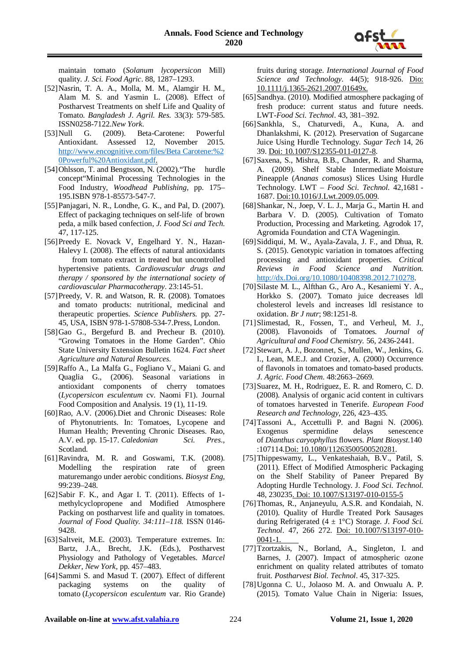

maintain tomato (*Solanum lycopersicon* Mill) quality. *J. Sci. Food Agric*. 88, 1287–1293.

- [52]Nasrin, T. A. A., Molla, M. M., Alamgir H. M., Alam M. S. and Yasmin L. (2008). Effect of Postharvest Treatments on shelf Life and Quality of Tomato. *Bangladesh J. Agril. Res.* 33(3): 579-585. ISSN0258-7122.*New York.*
- [53]Null G. (2009). Beta-Carotene: Powerful Antioxidant. Assessed 12, November 2015. [http://www.encognitive.com/files/Beta](http://www.encognitive.com/files/Beta%C2%A0Carotene:%20Powerful%20Antioxidant.pdf) Carotene:%2 [0Powerful%20Antioxidant.pdf.](http://www.encognitive.com/files/Beta%C2%A0Carotene:%20Powerful%20Antioxidant.pdf)
- [54]Ohlsson, T. and Bengtsson, N. (2002)."The hurdle concept"Minimal Processing Technologies in the Food Industry, *Woodhead Publishing*, pp. 175– 195.ISBN 978-1-85573-547-7.
- [55]Panjagari, N. R., Londhe, G. K., and Pal, D. (2007). Effect of packaging techniques on self-life of brown peda, a milk based confection, *J. Food Sci and Tech*. 47, 117-125.
- [56]Preedy E. Novack V, Engelhard Y. N., Hazan-Halevy I. (2008). The effects of natural antioxidants from tomato extract in treated but uncontrolled hypertensive patients. *Cardiovascular drugs and therapy / sponsored by the international society of cardiovascular Pharmacotherapy*. 23:145-51.
- [57]Preedy, V. R. and Watson, R. R. (2008). Tomatoes and tomato products: nutritional, medicinal and therapeutic properties. *Science Publishers.* pp. 27- 45, USA, ISBN 978-1-57808-534-7.Press, London.
- [58]Gao G., Bergefurd B. and Precheur B. (2010). "Growing Tomatoes in the Home Garden". Ohio State University Extension Bulletin 1624. *Fact sheet Agriculture and Natural Resources.*
- [59]Raffo A., La Malfa G., Fogliano V., Maiani G. and Quaglia G., (2006). Seasonal variations in antioxidant components of cherry tomatoes (*Lycopersicon esculentum* cv. Naomi F1). Journal Food Composition and Analysis. 19 (1), 11-19.
- [60]Rao, A.V. (2006).Diet and Chronic Diseases: Role of Phytonutrients. In: Tomatoes, Lycopene and Human Health; Preventing Chronic Diseases. Rao, A.V. ed. pp. 15-17. *Caledonian Sci. Pres*., Scotland.
- [61]Ravindra, M. R. and Goswami, T.K. (2008). Modelling the respiration rate of green maturemango under aerobic conditions. *Biosyst Eng,* 99:239–248.
- [62]Sabir F. K., and Agar I. T. (2011). Effects of 1methylcyclopropene and Modified Atmosphere Packing on postharvest life and quality in tomatoes. *Journal of Food Quality. 34:111–118.* ISSN 0146- 9428.
- [63]Saltveit, M.E. (2003). Temperature extremes. In: Bartz, J.A., Brecht, J.K. (Eds.), Postharvest Physiology and Pathology of Vegetables. *Marcel Dekker, New York*, pp. 457–483.
- [64]Sammi S. and Masud T. (2007). Effect of different packaging systems on the quality of tomato (*Lycopersicon esculentum* var. Rio Grande)

fruits during storage. *International Journal of Food Science and Technology*. 44(5); 918-926. Dio: 10.1111/j.1365-2621.2007.01649x.

- [65]Sandhya. (2010). Modified atmosphere packaging of fresh produce: current status and future needs. LWT-*Food Sci. Technol*. 43, 381–392.
- [66]Sankhla, S., Chaturvedi, A., Kuna, A. and Dhanlakshmi, K. (2012). Preservation of Sugarcane Juice Using Hurdle Technology. *Sugar Tech* 14, 26 39. Doi: 10.1007/S12355-011-0127-8.
- [67] Saxena, S., Mishra, B.B., Chander, R. and Sharma, A. (2009). Shelf Stable Intermediate Moisture Pineapple (*Ananas comosus*) Slices Using Hurdle Technology. LWT – *Food Sci. Technol*. 42,1681 - 1687. Doi:10.1016/J.Lwt.2009.05.009.
- [68]Shankar, N., Joep, V. L. J., Marja G., Martin H. and Barbara V. D. (2005). Cultivation of Tomato Production, Processing and Marketing. Agrodok 17, Agromida Foundation and CTA Wageningin.
- [69]Siddiqui, M. W., Ayala-Zavala, J. F., and Dhua, R. S. (2015). Genotypic variation in tomatoes affecting processing and antioxidant properties. *Critical Reviews in Food Science and Nutrition.*  [http://dx.Doi.org/10.1080/10408398.2012.710278.](http://dx.doi.org/10.1080/10408398.2012.710278)
- [70]Silaste M. L., Alfthan G., Aro A., Kesaniemi Y. A., Horkko S. (2007). Tomato juice decreases ldl cholesterol levels and increases ldl resistance to oxidation. *Br J nutr*; 98:1251-8.
- [71]Slimestad, R., Fossen, T., and Verheul, M. J., (2008). Flavonoids of Tomatoes*. Journal of Agricultural and Food Chemistry.* 56, 2436-2441.
- [72]Stewart, A. J., Bozonnet, S., Mullen, W., Jenkins, G. I., Lean, M.E.J. and Crozier, A. (2000) Occurrence of flavonols in tomatoes and tomato-based products. *J. Agric. Food Chem*. 48:2663–2669.
- [73] Suarez, M. H., Rodriguez, E. R. and Romero, C. D. (2008). Analysis of organic acid content in cultivars of tomatoes harvested in Tenerife. *European Food Research and Technology*, 226, 423–435.
- [74]Tassoni A., Accettulli P. and Bagni N. (2006). Exogenus spermidine delays senescence of *Dianthus caryophyllus* flowers. *Plant Biosyst*.140 :107114.Doi: 10.1080/11263500500520281.
- [75]Thippeswamy, L., Venkateshaiah, B.V., Patil, S. (2011). Effect of Modified Atmospheric Packaging on the Shelf Stability of Paneer Prepared By Adopting Hurdle Technology. J. *Food Sci. Technol.*  48, 230235. Doi: 10.1007/S13197-010-0155-5
- [76]Thomas, R., Anjaneyulu, A.S.R. and Kondaiah, N. (2010). Quality of Hurdle Treated Pork Sausages during Refrigerated (4 ± 1°C) Storage. *J. Food Sci. Technol*. 47, 266 272. Doi: 10.1007/S13197-010- 0041-1.
- [77]Tzortzakis, N., Borland, A., Singleton, I. and Barnes, J. (2007). Impact of atmospheric ozone enrichment on quality related attributes of tomato fruit. *Postharvest Biol. Technol*. 45, 317-325.
- [78]Ugonna C. U., Jolaoso M. A. and Onwualu A. P. (2015). Tomato Value Chain in Nigeria: Issues,